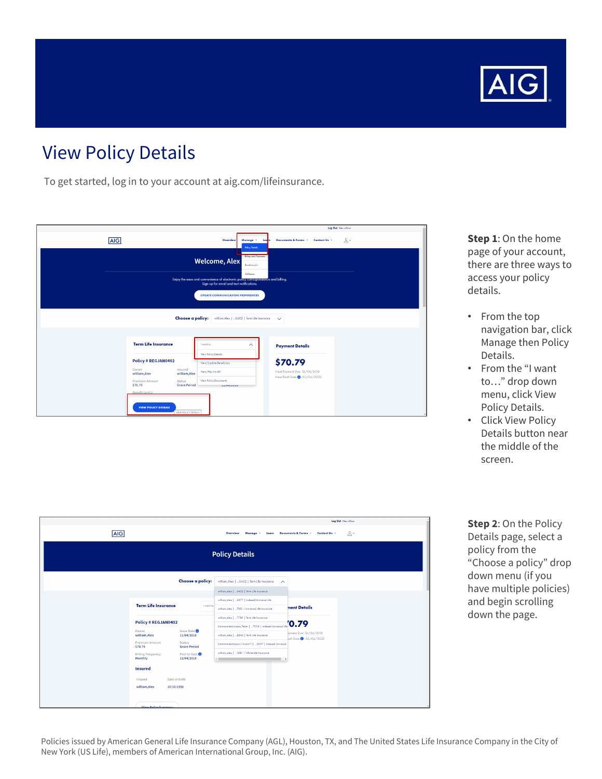

## View Policy Details

To get started, log in to your account at aig.com/lifeinsurance.

|            |                                                                          |                                                                                                                                           |                                                                 | Log Out Alex william |
|------------|--------------------------------------------------------------------------|-------------------------------------------------------------------------------------------------------------------------------------------|-----------------------------------------------------------------|----------------------|
| <b>AIG</b> |                                                                          | Overview<br>Manage +<br>Learn<br><b>Policy Details</b>                                                                                    | Documents & Forms<br>Contact Us -                               | $2 -$                |
|            |                                                                          | <b>Biling and Payments</b><br><b>Welcome, Alex</b><br>Beneficiary(s)                                                                      |                                                                 |                      |
|            |                                                                          | Addresses<br>Enjoy the ease and convenience of electronic policy correspondence and billing.<br>Sign up for email and text notifications. |                                                                 |                      |
|            |                                                                          | <b>UPDATE COMMUNICATION PREFERENCES</b>                                                                                                   |                                                                 |                      |
|            |                                                                          | <b>Choose a policy:</b> william, Alex   0402   Term Life Insurance                                                                        | $\sim$                                                          |                      |
|            |                                                                          |                                                                                                                                           |                                                                 |                      |
|            | <b>Term Life Insurance</b>                                               | I wont to<br>⌒                                                                                                                            | <b>Payment Details</b>                                          |                      |
|            | <b>Policy # REGJAN0402</b>                                               | View Policy Details<br>View/Update Beneficiary                                                                                            | \$70.79                                                         |                      |
|            | Owner<br>Insured<br>william, Alex<br>william, Alex                       | View/Pay My Bill                                                                                                                          | Next Payment Due: 12/04/2018<br>Next Draft Date (1: 05/04/2022) |                      |
|            | <b>Premium Amount</b><br><b>Status</b><br>\$70.79<br><b>Grace Period</b> | View Policy Documents<br>11/04/2010                                                                                                       |                                                                 |                      |
|            | Beneficiary(s)                                                           |                                                                                                                                           |                                                                 |                      |
|            | <b>VIEW POLICY DETAILS</b><br><b>VIEW POLICY DETAILS</b>                 |                                                                                                                                           |                                                                 |                      |

| <b>Step 1: On the home</b> |
|----------------------------|
| page of your account,      |
| there are three ways to    |
| access your policy         |
| details.                   |

- From the top navigation bar, click Manage then Policy Details.
- From the "I want to…" drop down menu, click View Policy Details.
- Click View Policy Details button near the middle of the screen.

|                                     |                                 |                                                                                                                         |                                  | Log Out Alex william |  |  |  |  |  |
|-------------------------------------|---------------------------------|-------------------------------------------------------------------------------------------------------------------------|----------------------------------|----------------------|--|--|--|--|--|
| <b>AIG</b>                          |                                 | Manage -<br>Overview<br>Learn                                                                                           | Documents & Forms . Contact Us . | $\mathbb{R}^+$       |  |  |  |  |  |
| <b>Policy Details</b>               |                                 |                                                                                                                         |                                  |                      |  |  |  |  |  |
|                                     | Choose a policy:                | william, Alex    0402   Term Life Insurance<br>$\sim$                                                                   |                                  |                      |  |  |  |  |  |
|                                     |                                 | william, Alex    0402   Term Life Insurance                                                                             |                                  |                      |  |  |  |  |  |
| <b>Term Life Insurance</b>          | I want to.                      | william, Alex    5877   Indexed Universal Life<br>william, Alex    7152   Universal Life Insurance                      | nent Details                     |                      |  |  |  |  |  |
| <b>Policy # REGJAN0402</b>          |                                 | william, Alex   7789   Term Life Insurance<br>Sommantestcaseoo,Tester   TCOS   Indexed Universal Life <sup>70</sup> .79 |                                  |                      |  |  |  |  |  |
| Owner<br>william, Alex              | <b>Issue Date</b><br>11/04/2018 | william, Alex    6543   Term Life Insurance                                                                             | ayment Due: 12/04/2018           |                      |  |  |  |  |  |
| <b>Premium Amount</b><br>\$70.79    | Status<br><b>Grace Period</b>   | Shmmmmtestcaserv, Vincent V    2007   Indexed Universal                                                                 | raft Date <b>0</b> : 05/04/2022  |                      |  |  |  |  |  |
| <b>Billing Frequency</b><br>Monthly | Paid to Date<br>12/04/2018      | william, Alex    1881   Whole Life Insurance<br>$\sim$<br>$\rightarrow$                                                 |                                  |                      |  |  |  |  |  |
| <b>Insured</b>                      |                                 |                                                                                                                         |                                  |                      |  |  |  |  |  |
| Insured<br>william, Alex            | Date of Birth<br>10/10/1981     |                                                                                                                         |                                  |                      |  |  |  |  |  |
|                                     |                                 |                                                                                                                         |                                  |                      |  |  |  |  |  |
| the company's company's company's   |                                 |                                                                                                                         |                                  |                      |  |  |  |  |  |

**Step 2**: On the Policy Details page, select a policy from the "Choose a policy" drop down menu (if you have multiple policies) and begin scrolling down the page.

Policies issued by American General Life Insurance Company (AGL), Houston, TX, and The United States Life Insurance Company in the City of New York (US Life), members of American International Group, Inc. (AIG).